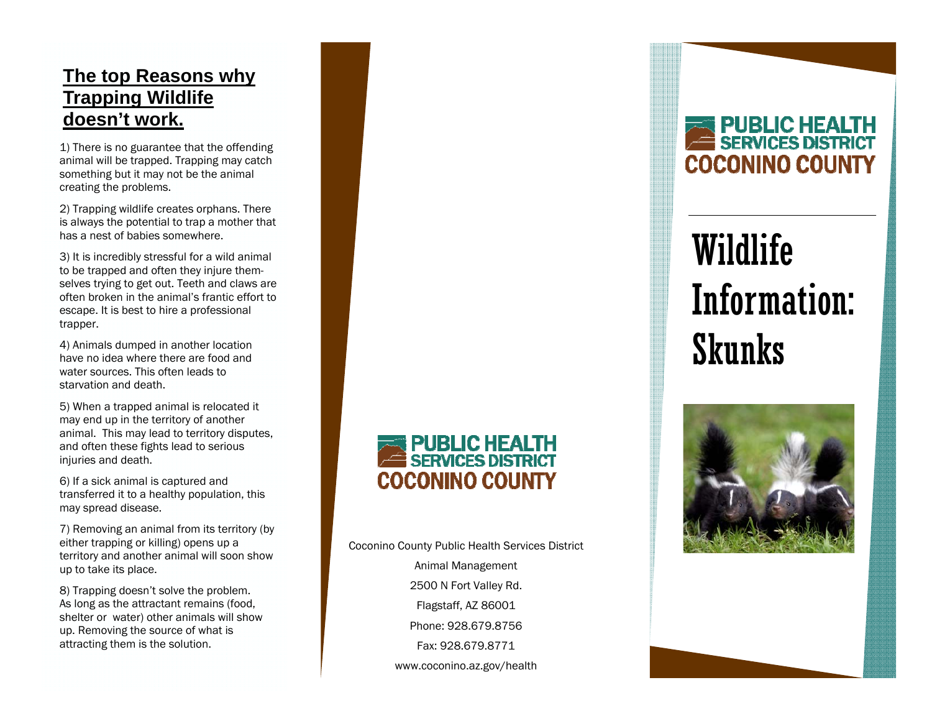### **The top Reasons why Trapping Wildlife doesn't work.**

1) There is no guarantee that the offending animal will be trapped. Trapping may catch something but it may not be the animal creating the problems.

2) Trapping wildlife creates orphans. There is always the potential to trap a mother that has a nest of babies somewhere.

3) It is incredibly stressful for a wild animal to be trapped and often they injure themselves trying to get out. Teeth and claws are often broken in the animal's frantic effort to escape. It is best to hire a professional trapper.

4) Animals dumped in another location have no idea where there are food and water sources. This often leads to starvation and death.

5) When a trapped animal is relocated it may end up in the territory of another animal. This may lead to territory disputes, and often these fights lead to serious injuries and death.

6) If a sick animal is captured and transferred it to a healthy population, this may spread disease.

7) Removing an animal from its territory (by either trapping or killing) opens up a territory and another animal will soon show up to take its place.

8) Trapping doesn't solve the problem. As long as the attractant remains (food, shelter or water) other animals will show up. Removing the source of what is attracting them is the solution.

## **PUBLIC HEALTH**<br>SERVICES DISTRICT **COCONINO COUNTY**

Coconino County Public Health Services District Animal Management 2500 N Fort Valley Rd. Flagstaff, AZ 86001 Phone: 928.679.8756 Fax: 928.679.8771 www.coconino.az.gov/health

## **PUBLIC HEALTH**<br>SERVICES DISTRICT **COCONINO COUNTY**

# Wildlife Information: Skunks